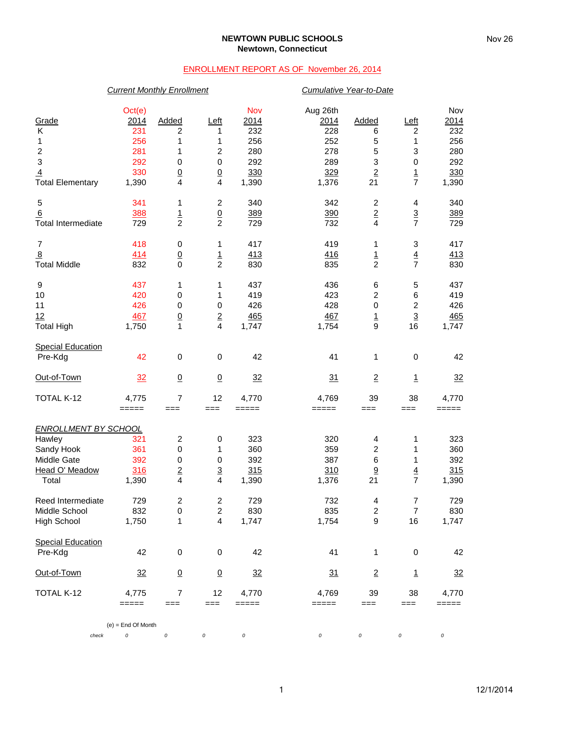### **NEWTOWN PUBLIC SCHOOLS Newtown, Connecticut**

# ENROLLMENT REPORT AS OF November 26, 2014

## *Current Monthly Enrollment Cumulative Year-to-Date*

| Grade<br>Κ<br>1<br>$\overline{\mathbf{c}}$<br>$\ensuremath{\mathsf{3}}$<br>$\overline{4}$<br><b>Total Elementary</b> | Oct(e)<br>2014<br>231<br>256<br>281<br>292<br>330<br>1,390  | Added<br>2<br>1<br>1<br>0<br>$\underline{0}$<br>4 | <u>Left</u><br>1<br>1<br>$\overline{c}$<br>$\,0\,$<br>$\overline{0}$<br>4 | Nov<br>2014<br>232<br>256<br>280<br>292<br>330<br>1,390 | Aug 26th<br><u>2014</u><br>228<br>252<br>278<br>289<br>329<br>1,376 | Added<br>6<br>5<br>5<br>3<br>$\overline{2}$<br>21 | Left<br>$\overline{c}$<br>1<br>3<br>0<br>$\overline{1}$<br>$\overline{7}$ | Nov<br>2014<br>232<br>256<br>280<br>292<br>330<br>1,390 |
|----------------------------------------------------------------------------------------------------------------------|-------------------------------------------------------------|---------------------------------------------------|---------------------------------------------------------------------------|---------------------------------------------------------|---------------------------------------------------------------------|---------------------------------------------------|---------------------------------------------------------------------------|---------------------------------------------------------|
| 5<br>6<br><b>Total Intermediate</b>                                                                                  | 341<br>388<br>729                                           | 1<br>$\frac{1}{2}$                                | $\overline{\mathbf{c}}$<br>$\frac{0}{2}$                                  | 340<br>389<br>729                                       | 342<br>390<br>732                                                   | $\overline{c}$<br>$\overline{2}$<br>4             | 4<br>$\frac{3}{7}$                                                        | 340<br>389<br>729                                       |
| $\overline{7}$<br>$\overline{8}$<br><b>Total Middle</b>                                                              | 418<br>414<br>832                                           | 0<br>$\underline{0}$<br>0                         | 1<br>$\overline{1}$<br>$\overline{c}$                                     | 417<br>413<br>830                                       | 419<br>416<br>835                                                   | 1<br>$\overline{1}$<br>$\overline{c}$             | 3<br>$\overline{4}$<br>$\overline{7}$                                     | 417<br>413<br>830                                       |
| 9<br>10<br>11<br>12<br><b>Total High</b>                                                                             | 437<br>420<br>426<br>467<br>1,750                           | 1<br>0<br>0<br>$\underline{0}$<br>1               | 1<br>1<br>$\mathbf 0$<br>$\underline{\mathbf{2}}$<br>4                    | 437<br>419<br>426<br>465<br>1,747                       | 436<br>423<br>428<br>467<br>1,754                                   | 6<br>2<br>0<br>$\overline{1}$<br>9                | 5<br>6<br>$\mathbf 2$<br>$\overline{3}$<br>16                             | 437<br>419<br>426<br>465<br>1,747                       |
| <b>Special Education</b><br>Pre-Kdg                                                                                  | 42                                                          | 0                                                 | 0                                                                         | 42                                                      | 41                                                                  | 1                                                 | $\pmb{0}$                                                                 | 42                                                      |
| Out-of-Town                                                                                                          | 32                                                          | $\overline{0}$                                    | $\underline{0}$                                                           | 32                                                      | 31                                                                  | $\overline{2}$                                    | $\overline{1}$                                                            | $\frac{32}{2}$                                          |
| TOTAL K-12                                                                                                           | 4,775<br>$=====$                                            | 7<br>$==$                                         | 12<br>$==$                                                                | 4,770<br>=====                                          | 4,769<br>=====                                                      | 39<br>$==$                                        | 38<br>===                                                                 | 4,770<br>=====                                          |
| <b>ENROLLMENT BY SCHOOL</b><br>Hawley<br>Sandy Hook<br>Middle Gate<br>Head O' Meadow<br>Total                        | 321<br>361<br>392<br>316<br>1,390                           | 2<br>0<br>0<br>$\overline{2}$<br>4                | $\,0\,$<br>1<br>$\,0\,$<br>$\frac{3}{4}$                                  | 323<br>360<br>392<br>315<br>1,390                       | 320<br>359<br>387<br>310<br>1,376                                   | 4<br>$\overline{c}$<br>6<br>$\overline{9}$<br>21  | 1<br>1<br>1<br>$\overline{4}$<br>$\overline{7}$                           | 323<br>360<br>392<br>315<br>1,390                       |
| Reed Intermediate<br>Middle School<br>High School                                                                    | 729<br>832<br>1,750                                         | 2<br>0<br>1                                       | 2<br>$\overline{2}$<br>4                                                  | 729<br>830<br>1,747                                     | 732<br>835<br>1,754                                                 | 4<br>$\overline{2}$<br>9                          | $\overline{\mathcal{I}}$<br>$\overline{7}$<br>16                          | 729<br>830<br>1,747                                     |
| <b>Special Education</b><br>Pre-Kdg                                                                                  | 42                                                          | $\pmb{0}$                                         | 0                                                                         | 42                                                      | 41                                                                  | 1                                                 | 0                                                                         | 42                                                      |
| Out-of-Town                                                                                                          | $\frac{32}{2}$                                              | $\overline{0}$                                    | $\overline{0}$                                                            | $\frac{32}{2}$                                          | 31                                                                  | $\overline{2}$                                    | $\overline{1}$                                                            | $\frac{32}{2}$                                          |
| TOTAL K-12                                                                                                           | 4,775<br>$\qquad \qquad \equiv \equiv \equiv \equiv \equiv$ | $\overline{7}$<br>$==$                            | 12<br>$==$                                                                | 4,770<br>=====                                          | 4,769<br>=====                                                      | 39<br>===                                         | 38<br>===                                                                 | 4,770<br>=====                                          |
|                                                                                                                      | $(e)$ = End Of Month                                        |                                                   |                                                                           |                                                         |                                                                     |                                                   |                                                                           |                                                         |
| check                                                                                                                | 0                                                           | $\cal O$                                          | 0                                                                         | 0                                                       | 0                                                                   | 0                                                 | 0                                                                         | 0                                                       |